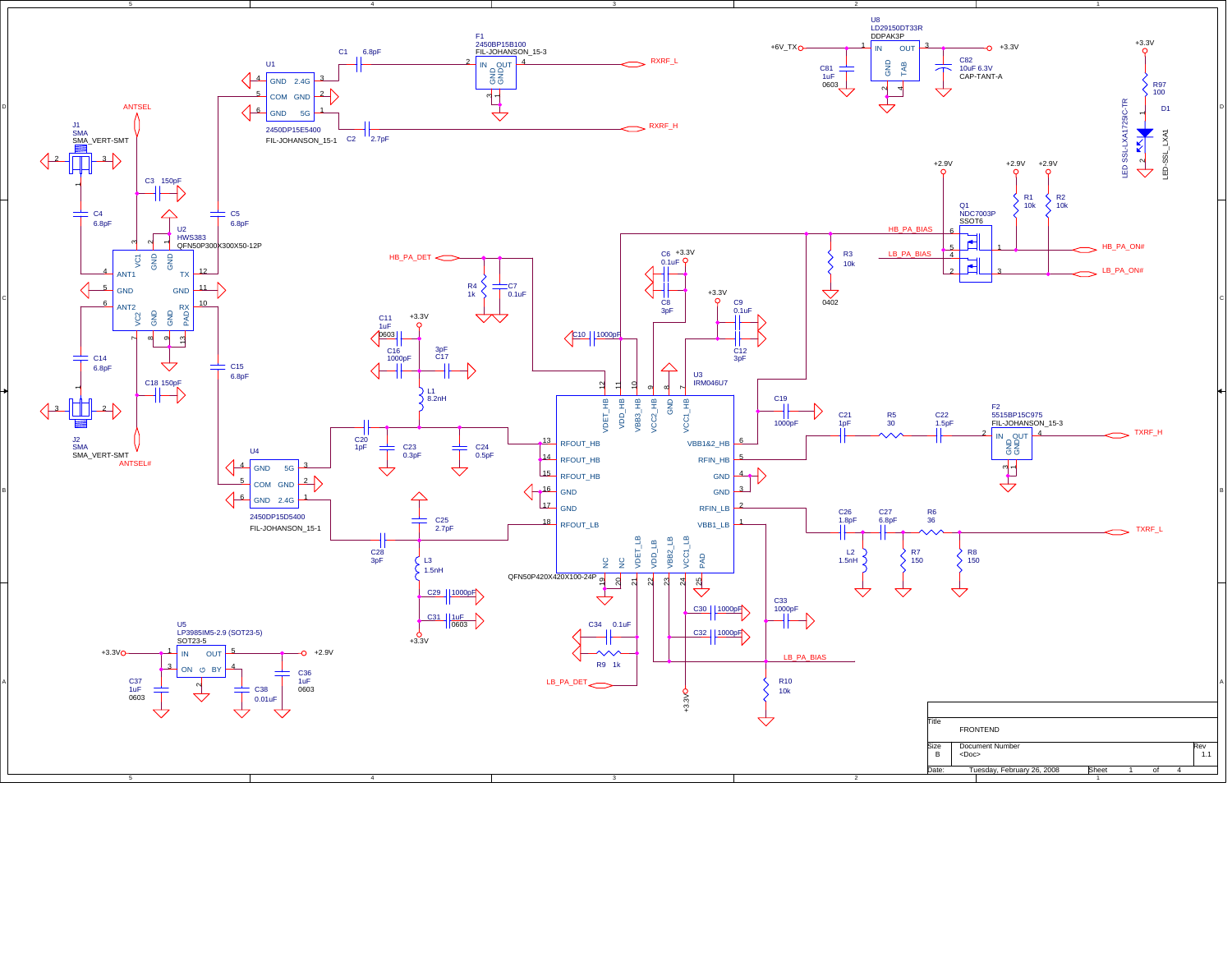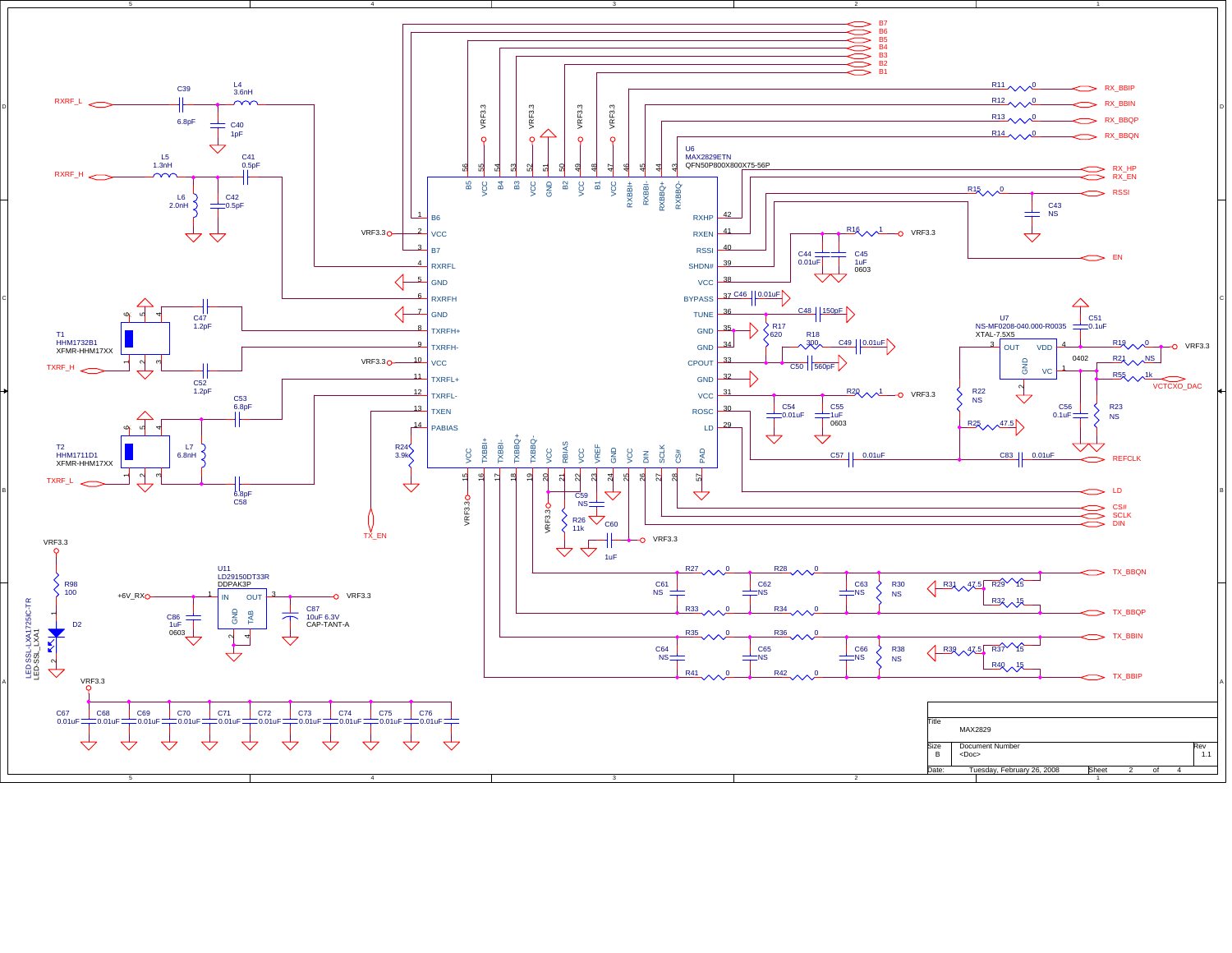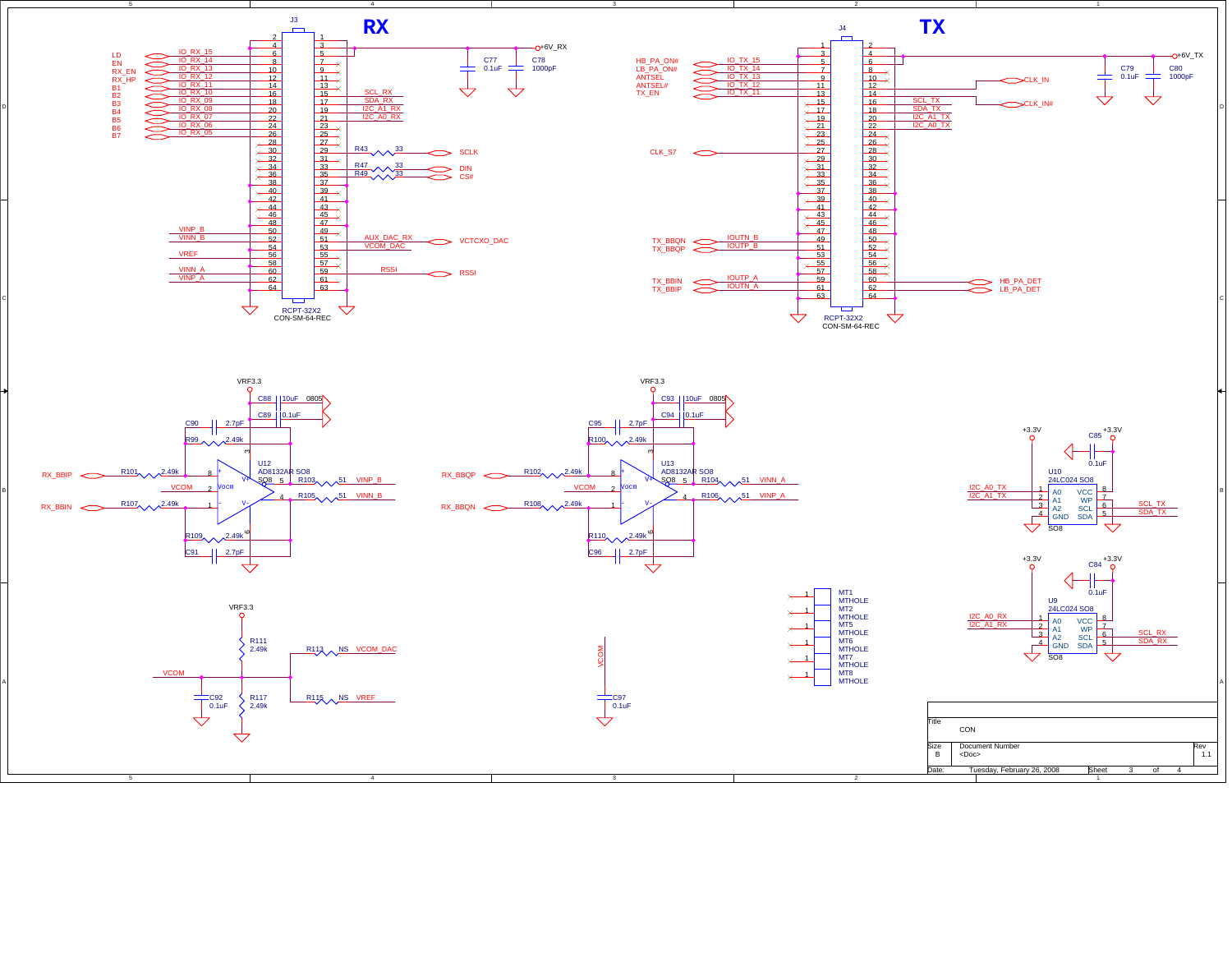